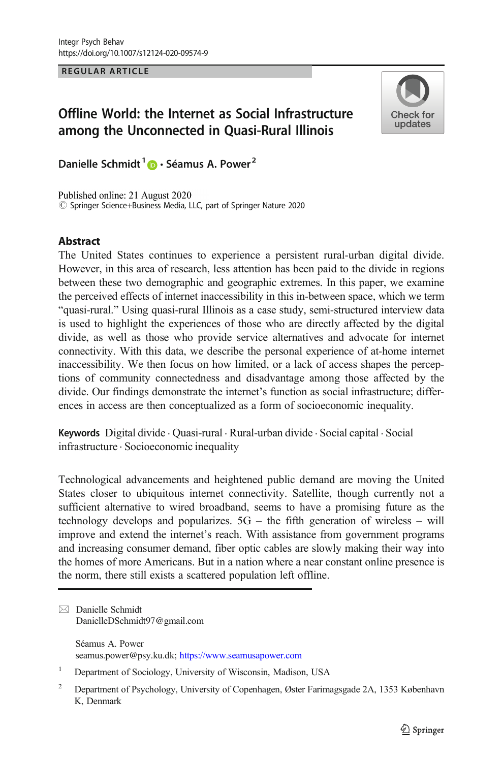REGULAR ARTICLE

# Offline World: the Internet as Social Infrastructure among the Unconnected in Quasi-Rural Illinois



Danielle Schmidt<sup>1</sup>  $\bullet$  · Séamus A. Power<sup>2</sup>

Published online: 21 August 2020  $\circled{C}$  Springer Science+Business Media, LLC, part of Springer Nature 2020

## Abstract

The United States continues to experience a persistent rural-urban digital divide. However, in this area of research, less attention has been paid to the divide in regions between these two demographic and geographic extremes. In this paper, we examine the perceived effects of internet inaccessibility in this in-between space, which we term "quasi-rural." Using quasi-rural Illinois as a case study, semi-structured interview data is used to highlight the experiences of those who are directly affected by the digital divide, as well as those who provide service alternatives and advocate for internet connectivity. With this data, we describe the personal experience of at-home internet inaccessibility. We then focus on how limited, or a lack of access shapes the perceptions of community connectedness and disadvantage among those affected by the divide. Our findings demonstrate the internet's function as social infrastructure; differences in access are then conceptualized as a form of socioeconomic inequality.

Keywords Digital divide . Quasi-rural . Rural-urban divide . Social capital . Social infrastructure . Socioeconomic inequality

Technological advancements and heightened public demand are moving the United States closer to ubiquitous internet connectivity. Satellite, though currently not a sufficient alternative to wired broadband, seems to have a promising future as the technology develops and popularizes. 5G – the fifth generation of wireless – will improve and extend the internet's reach. With assistance from government programs and increasing consumer demand, fiber optic cables are slowly making their way into the homes of more Americans. But in a nation where a near constant online presence is the norm, there still exists a scattered population left offline.

Séamus A. Power seamus.power@psy.ku.dk; https://www.seamusapower.com

 $\boxtimes$  Danielle Schmidt [DanielleDSchmidt97@gmail.com](mailto:DanielleDSchmidt97@gmail.com)

<sup>&</sup>lt;sup>1</sup> Department of Sociology, University of Wisconsin, Madison, USA

<sup>&</sup>lt;sup>2</sup> Department of Psychology, University of Copenhagen, Øster Farimagsgade 2A, 1353 København K, Denmark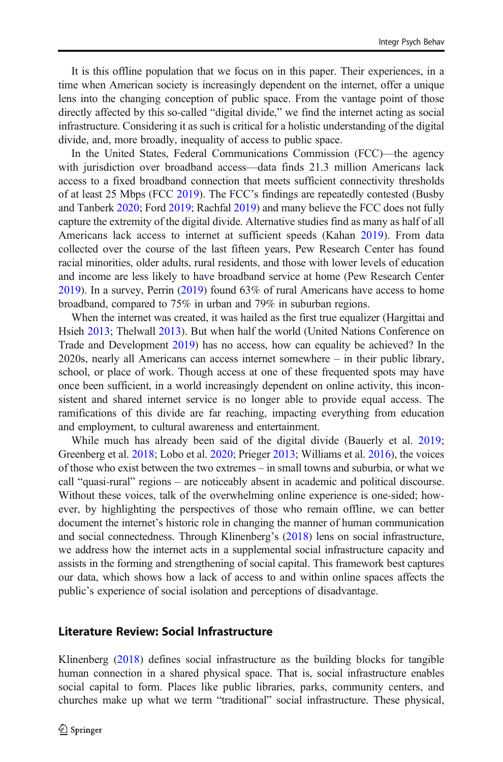It is this offline population that we focus on in this paper. Their experiences, in a time when American society is increasingly dependent on the internet, offer a unique lens into the changing conception of public space. From the vantage point of those directly affected by this so-called "digital divide," we find the internet acting as social infrastructure. Considering it as such is critical for a holistic understanding of the digital divide, and, more broadly, inequality of access to public space.

In the United States, Federal Communications Commission (FCC)—the agency with jurisdiction over broadband access—data finds 21.3 million Americans lack access to a fixed broadband connection that meets sufficient connectivity thresholds of at least 25 Mbps (FCC [2019](#page-13-0)). The FCC's findings are repeatedly contested (Busby and Tanberk [2020;](#page-13-0) Ford [2019;](#page-13-0) Rachfal [2019\)](#page-14-0) and many believe the FCC does not fully capture the extremity of the digital divide. Alternative studies find as many as half of all Americans lack access to internet at sufficient speeds (Kahan [2019](#page-13-0)). From data collected over the course of the last fifteen years, Pew Research Center has found racial minorities, older adults, rural residents, and those with lower levels of education and income are less likely to have broadband service at home (Pew Research Center [2019\)](#page-14-0). In a survey, Perrin [\(2019\)](#page-13-0) found 63% of rural Americans have access to home broadband, compared to 75% in urban and 79% in suburban regions.

When the internet was created, it was hailed as the first true equalizer (Hargittai and Hsieh [2013](#page-13-0); Thelwall [2013](#page-14-0)). But when half the world (United Nations Conference on Trade and Development [2019](#page-14-0)) has no access, how can equality be achieved? In the 2020s, nearly all Americans can access internet somewhere – in their public library, school, or place of work. Though access at one of these frequented spots may have once been sufficient, in a world increasingly dependent on online activity, this inconsistent and shared internet service is no longer able to provide equal access. The ramifications of this divide are far reaching, impacting everything from education and employment, to cultural awareness and entertainment.

While much has already been said of the digital divide (Bauerly et al. [2019;](#page-13-0) Greenberg et al. [2018;](#page-13-0) Lobo et al. [2020](#page-13-0); Prieger [2013](#page-14-0); Williams et al. [2016](#page-14-0)), the voices of those who exist between the two extremes – in small towns and suburbia, or what we call "quasi-rural" regions – are noticeably absent in academic and political discourse. Without these voices, talk of the overwhelming online experience is one-sided; however, by highlighting the perspectives of those who remain offline, we can better document the internet's historic role in changing the manner of human communication and social connectedness. Through Klinenberg's [\(2018\)](#page-13-0) lens on social infrastructure, we address how the internet acts in a supplemental social infrastructure capacity and assists in the forming and strengthening of social capital. This framework best captures our data, which shows how a lack of access to and within online spaces affects the public's experience of social isolation and perceptions of disadvantage.

### Literature Review: Social Infrastructure

Klinenberg [\(2018](#page-13-0)) defines social infrastructure as the building blocks for tangible human connection in a shared physical space. That is, social infrastructure enables social capital to form. Places like public libraries, parks, community centers, and churches make up what we term "traditional" social infrastructure. These physical,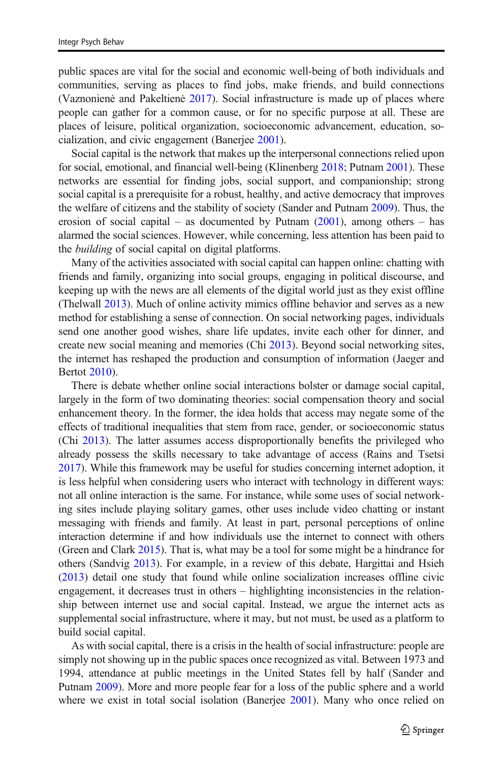public spaces are vital for the social and economic well-being of both individuals and communities, serving as places to find jobs, make friends, and build connections (Vaznonienė and Pakeltienė [2017](#page-14-0)). Social infrastructure is made up of places where people can gather for a common cause, or for no specific purpose at all. These are places of leisure, political organization, socioeconomic advancement, education, socialization, and civic engagement (Banerjee [2001\)](#page-12-0).

Social capital is the network that makes up the interpersonal connections relied upon for social, emotional, and financial well-being (Klinenberg [2018](#page-13-0); Putnam [2001](#page-14-0)). These networks are essential for finding jobs, social support, and companionship; strong social capital is a prerequisite for a robust, healthy, and active democracy that improves the welfare of citizens and the stability of society (Sander and Putnam [2009](#page-14-0)). Thus, the erosion of social capital – as documented by Putnam  $(2001)$  $(2001)$  $(2001)$ , among others – has alarmed the social sciences. However, while concerning, less attention has been paid to the building of social capital on digital platforms.

Many of the activities associated with social capital can happen online: chatting with friends and family, organizing into social groups, engaging in political discourse, and keeping up with the news are all elements of the digital world just as they exist offline (Thelwall [2013\)](#page-14-0). Much of online activity mimics offline behavior and serves as a new method for establishing a sense of connection. On social networking pages, individuals send one another good wishes, share life updates, invite each other for dinner, and create new social meaning and memories (Chi [2013\)](#page-13-0). Beyond social networking sites, the internet has reshaped the production and consumption of information (Jaeger and Bertot [2010\)](#page-13-0).

There is debate whether online social interactions bolster or damage social capital, largely in the form of two dominating theories: social compensation theory and social enhancement theory. In the former, the idea holds that access may negate some of the effects of traditional inequalities that stem from race, gender, or socioeconomic status (Chi [2013\)](#page-13-0). The latter assumes access disproportionally benefits the privileged who already possess the skills necessary to take advantage of access (Rains and Tsetsi [2017\)](#page-14-0). While this framework may be useful for studies concerning internet adoption, it is less helpful when considering users who interact with technology in different ways: not all online interaction is the same. For instance, while some uses of social networking sites include playing solitary games, other uses include video chatting or instant messaging with friends and family. At least in part, personal perceptions of online interaction determine if and how individuals use the internet to connect with others (Green and Clark [2015](#page-13-0)). That is, what may be a tool for some might be a hindrance for others (Sandvig [2013](#page-14-0)). For example, in a review of this debate, Hargittai and Hsieh [\(2013\)](#page-13-0) detail one study that found while online socialization increases offline civic engagement, it decreases trust in others – highlighting inconsistencies in the relationship between internet use and social capital. Instead, we argue the internet acts as supplemental social infrastructure, where it may, but not must, be used as a platform to build social capital.

As with social capital, there is a crisis in the health of social infrastructure: people are simply not showing up in the public spaces once recognized as vital. Between 1973 and 1994, attendance at public meetings in the United States fell by half (Sander and Putnam [2009](#page-14-0)). More and more people fear for a loss of the public sphere and a world where we exist in total social isolation (Banerjee [2001](#page-12-0)). Many who once relied on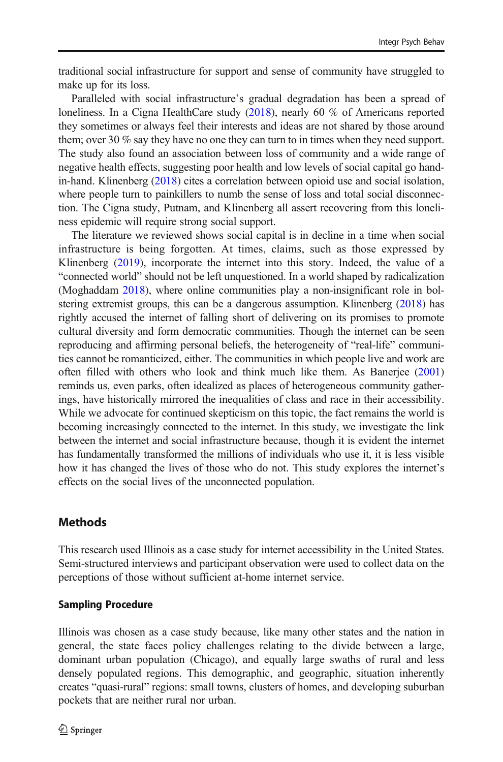traditional social infrastructure for support and sense of community have struggled to make up for its loss.

Paralleled with social infrastructure's gradual degradation has been a spread of loneliness. In a Cigna HealthCare study [\(2018\)](#page-13-0), nearly 60 % of Americans reported they sometimes or always feel their interests and ideas are not shared by those around them; over 30 % say they have no one they can turn to in times when they need support. The study also found an association between loss of community and a wide range of negative health effects, suggesting poor health and low levels of social capital go handin-hand. Klinenberg [\(2018\)](#page-13-0) cites a correlation between opioid use and social isolation, where people turn to painkillers to numb the sense of loss and total social disconnection. The Cigna study, Putnam, and Klinenberg all assert recovering from this loneliness epidemic will require strong social support.

The literature we reviewed shows social capital is in decline in a time when social infrastructure is being forgotten. At times, claims, such as those expressed by Klinenberg ([2019](#page-13-0)), incorporate the internet into this story. Indeed, the value of a "connected world" should not be left unquestioned. In a world shaped by radicalization (Moghaddam [2018\)](#page-13-0), where online communities play a non-insignificant role in bolstering extremist groups, this can be a dangerous assumption. Klinenberg [\(2018\)](#page-13-0) has rightly accused the internet of falling short of delivering on its promises to promote cultural diversity and form democratic communities. Though the internet can be seen reproducing and affirming personal beliefs, the heterogeneity of "real-life" communities cannot be romanticized, either. The communities in which people live and work are often filled with others who look and think much like them. As Banerjee [\(2001](#page-12-0)) reminds us, even parks, often idealized as places of heterogeneous community gatherings, have historically mirrored the inequalities of class and race in their accessibility. While we advocate for continued skepticism on this topic, the fact remains the world is becoming increasingly connected to the internet. In this study, we investigate the link between the internet and social infrastructure because, though it is evident the internet has fundamentally transformed the millions of individuals who use it, it is less visible how it has changed the lives of those who do not. This study explores the internet's effects on the social lives of the unconnected population.

# **Methods**

This research used Illinois as a case study for internet accessibility in the United States. Semi-structured interviews and participant observation were used to collect data on the perceptions of those without sufficient at-home internet service.

## Sampling Procedure

Illinois was chosen as a case study because, like many other states and the nation in general, the state faces policy challenges relating to the divide between a large, dominant urban population (Chicago), and equally large swaths of rural and less densely populated regions. This demographic, and geographic, situation inherently creates "quasi-rural" regions: small towns, clusters of homes, and developing suburban pockets that are neither rural nor urban.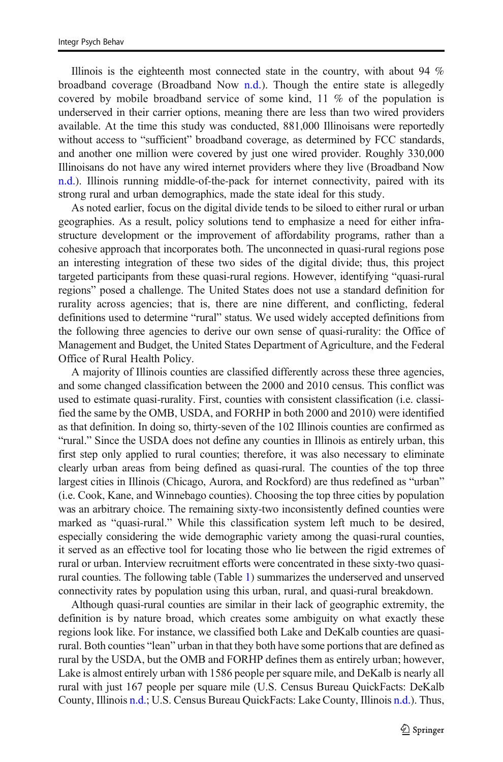Illinois is the eighteenth most connected state in the country, with about 94 % broadband coverage (Broadband Now [n.d.\)](#page-13-0). Though the entire state is allegedly covered by mobile broadband service of some kind, 11 % of the population is underserved in their carrier options, meaning there are less than two wired providers available. At the time this study was conducted, 881,000 Illinoisans were reportedly without access to "sufficient" broadband coverage, as determined by FCC standards, and another one million were covered by just one wired provider. Roughly 330,000 Illinoisans do not have any wired internet providers where they live (Broadband Now [n.d.\)](#page-13-0). Illinois running middle-of-the-pack for internet connectivity, paired with its strong rural and urban demographics, made the state ideal for this study.

As noted earlier, focus on the digital divide tends to be siloed to either rural or urban geographies. As a result, policy solutions tend to emphasize a need for either infrastructure development or the improvement of affordability programs, rather than a cohesive approach that incorporates both. The unconnected in quasi-rural regions pose an interesting integration of these two sides of the digital divide; thus, this project targeted participants from these quasi-rural regions. However, identifying "quasi-rural regions" posed a challenge. The United States does not use a standard definition for rurality across agencies; that is, there are nine different, and conflicting, federal definitions used to determine "rural" status. We used widely accepted definitions from the following three agencies to derive our own sense of quasi-rurality: the Office of Management and Budget, the United States Department of Agriculture, and the Federal Office of Rural Health Policy.

A majority of Illinois counties are classified differently across these three agencies, and some changed classification between the 2000 and 2010 census. This conflict was used to estimate quasi-rurality. First, counties with consistent classification (i.e. classified the same by the OMB, USDA, and FORHP in both 2000 and 2010) were identified as that definition. In doing so, thirty-seven of the 102 Illinois counties are confirmed as "rural." Since the USDA does not define any counties in Illinois as entirely urban, this first step only applied to rural counties; therefore, it was also necessary to eliminate clearly urban areas from being defined as quasi-rural. The counties of the top three largest cities in Illinois (Chicago, Aurora, and Rockford) are thus redefined as "urban" (i.e. Cook, Kane, and Winnebago counties). Choosing the top three cities by population was an arbitrary choice. The remaining sixty-two inconsistently defined counties were marked as "quasi-rural." While this classification system left much to be desired, especially considering the wide demographic variety among the quasi-rural counties, it served as an effective tool for locating those who lie between the rigid extremes of rural or urban. Interview recruitment efforts were concentrated in these sixty-two quasirural counties. The following table (Table [1](#page-5-0)) summarizes the underserved and unserved connectivity rates by population using this urban, rural, and quasi-rural breakdown.

Although quasi-rural counties are similar in their lack of geographic extremity, the definition is by nature broad, which creates some ambiguity on what exactly these regions look like. For instance, we classified both Lake and DeKalb counties are quasirural. Both counties "lean" urban in that they both have some portions that are defined as rural by the USDA, but the OMB and FORHP defines them as entirely urban; however, Lake is almost entirely urban with 1586 people per square mile, and DeKalb is nearly all rural with just 167 people per square mile (U.S. Census Bureau QuickFacts: DeKalb County, Illinois [n.d.;](#page-14-0) U.S. Census Bureau QuickFacts: Lake County, Illinois [n.d.\)](#page-14-0). Thus,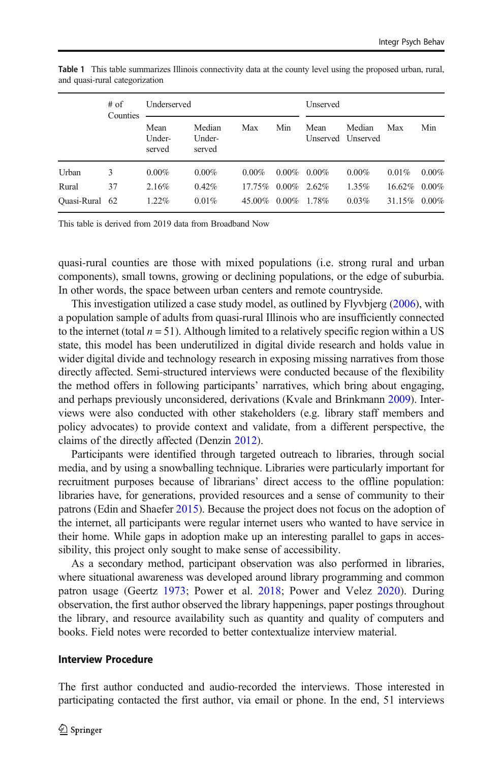|                | $#$ of<br>Counties | Underserved              |                            |           |          | Unserved        |                             |           |          |
|----------------|--------------------|--------------------------|----------------------------|-----------|----------|-----------------|-----------------------------|-----------|----------|
|                |                    | Mean<br>Under-<br>served | Median<br>Under-<br>served | Max       | Min      | Mean            | Median<br>Unserved Unserved | Max       | Min      |
| Urban          | 3                  | $0.00\%$                 | $0.00\%$                   | $0.00\%$  | $0.00\%$ | $0.00\%$        | $0.00\%$                    | $0.01\%$  | $0.00\%$ |
| Rural          | 37                 | 2.16%                    | 0.42%                      | $17.75\%$ |          | $0.00\%$ 2.62\% | 1.35%                       | $16.62\%$ | $0.00\%$ |
| Quasi-Rural 62 |                    | 1.22%                    | 0.01%                      | 45.00%    | $0.00\%$ | 1.78%           | 0.03%                       | 31.15%    | $0.00\%$ |

<span id="page-5-0"></span>Table 1 This table summarizes Illinois connectivity data at the county level using the proposed urban, rural, and quasi-rural categorization

This table is derived from 2019 data from Broadband Now

quasi-rural counties are those with mixed populations (i.e. strong rural and urban components), small towns, growing or declining populations, or the edge of suburbia. In other words, the space between urban centers and remote countryside.

This investigation utilized a case study model, as outlined by Flyvbjerg ([2006](#page-13-0)), with a population sample of adults from quasi-rural Illinois who are insufficiently connected to the internet (total  $n = 51$ ). Although limited to a relatively specific region within a US state, this model has been underutilized in digital divide research and holds value in wider digital divide and technology research in exposing missing narratives from those directly affected. Semi-structured interviews were conducted because of the flexibility the method offers in following participants' narratives, which bring about engaging, and perhaps previously unconsidered, derivations (Kvale and Brinkmann [2009\)](#page-13-0). Interviews were also conducted with other stakeholders (e.g. library staff members and policy advocates) to provide context and validate, from a different perspective, the claims of the directly affected (Denzin [2012\)](#page-13-0).

Participants were identified through targeted outreach to libraries, through social media, and by using a snowballing technique. Libraries were particularly important for recruitment purposes because of librarians' direct access to the offline population: libraries have, for generations, provided resources and a sense of community to their patrons (Edin and Shaefer [2015](#page-13-0)). Because the project does not focus on the adoption of the internet, all participants were regular internet users who wanted to have service in their home. While gaps in adoption make up an interesting parallel to gaps in accessibility, this project only sought to make sense of accessibility.

As a secondary method, participant observation was also performed in libraries, where situational awareness was developed around library programming and common patron usage (Geertz [1973](#page-13-0); Power et al. [2018;](#page-14-0) Power and Velez [2020\)](#page-14-0). During observation, the first author observed the library happenings, paper postings throughout the library, and resource availability such as quantity and quality of computers and books. Field notes were recorded to better contextualize interview material.

#### Interview Procedure

The first author conducted and audio-recorded the interviews. Those interested in participating contacted the first author, via email or phone. In the end, 51 interviews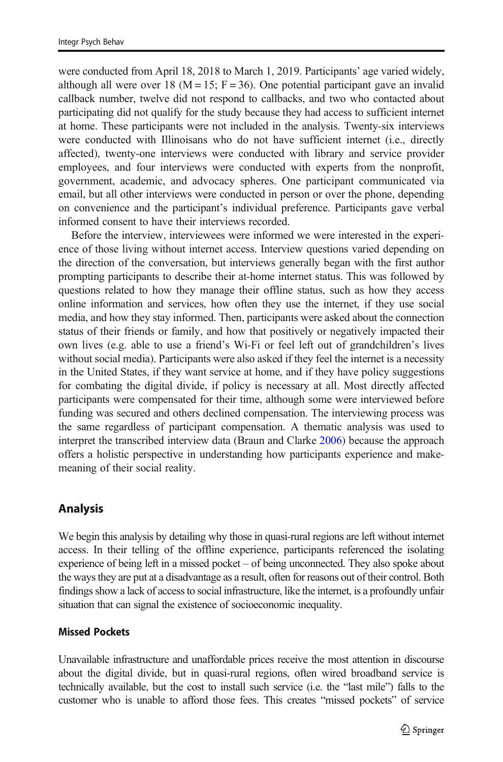were conducted from April 18, 2018 to March 1, 2019. Participants' age varied widely, although all were over 18 ( $M = 15$ ; F = 36). One potential participant gave an invalid callback number, twelve did not respond to callbacks, and two who contacted about participating did not qualify for the study because they had access to sufficient internet at home. These participants were not included in the analysis. Twenty-six interviews were conducted with Illinoisans who do not have sufficient internet (i.e., directly affected), twenty-one interviews were conducted with library and service provider employees, and four interviews were conducted with experts from the nonprofit, government, academic, and advocacy spheres. One participant communicated via email, but all other interviews were conducted in person or over the phone, depending on convenience and the participant's individual preference. Participants gave verbal informed consent to have their interviews recorded.

Before the interview, interviewees were informed we were interested in the experience of those living without internet access. Interview questions varied depending on the direction of the conversation, but interviews generally began with the first author prompting participants to describe their at-home internet status. This was followed by questions related to how they manage their offline status, such as how they access online information and services, how often they use the internet, if they use social media, and how they stay informed. Then, participants were asked about the connection status of their friends or family, and how that positively or negatively impacted their own lives (e.g. able to use a friend's Wi-Fi or feel left out of grandchildren's lives without social media). Participants were also asked if they feel the internet is a necessity in the United States, if they want service at home, and if they have policy suggestions for combating the digital divide, if policy is necessary at all. Most directly affected participants were compensated for their time, although some were interviewed before funding was secured and others declined compensation. The interviewing process was the same regardless of participant compensation. A thematic analysis was used to interpret the transcribed interview data (Braun and Clarke [2006\)](#page-13-0) because the approach offers a holistic perspective in understanding how participants experience and makemeaning of their social reality.

## Analysis

We begin this analysis by detailing why those in quasi-rural regions are left without internet access. In their telling of the offline experience, participants referenced the isolating experience of being left in a missed pocket – of being unconnected. They also spoke about the ways they are put at a disadvantage as a result, often for reasons out of their control. Both findings show a lack of access to social infrastructure, like the internet, is a profoundly unfair situation that can signal the existence of socioeconomic inequality.

#### Missed Pockets

Unavailable infrastructure and unaffordable prices receive the most attention in discourse about the digital divide, but in quasi-rural regions, often wired broadband service is technically available, but the cost to install such service (i.e. the "last mile") falls to the customer who is unable to afford those fees. This creates "missed pockets" of service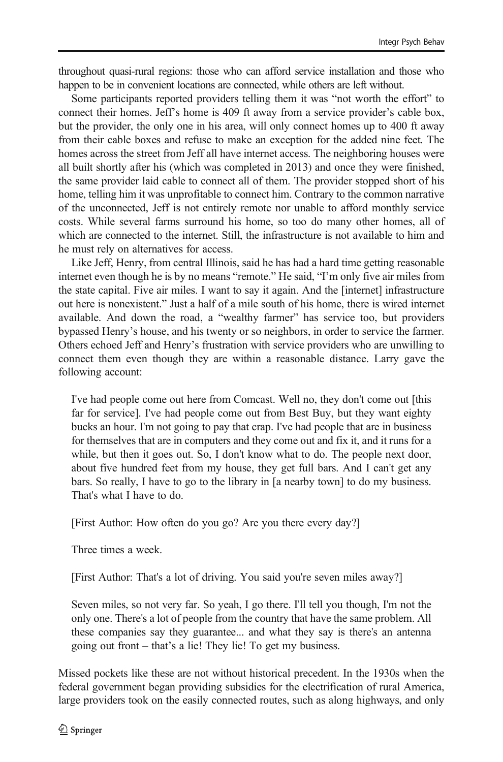throughout quasi-rural regions: those who can afford service installation and those who happen to be in convenient locations are connected, while others are left without.

Some participants reported providers telling them it was "not worth the effort" to connect their homes. Jeff's home is 409 ft away from a service provider's cable box, but the provider, the only one in his area, will only connect homes up to 400 ft away from their cable boxes and refuse to make an exception for the added nine feet. The homes across the street from Jeff all have internet access. The neighboring houses were all built shortly after his (which was completed in 2013) and once they were finished, the same provider laid cable to connect all of them. The provider stopped short of his home, telling him it was unprofitable to connect him. Contrary to the common narrative of the unconnected, Jeff is not entirely remote nor unable to afford monthly service costs. While several farms surround his home, so too do many other homes, all of which are connected to the internet. Still, the infrastructure is not available to him and he must rely on alternatives for access.

Like Jeff, Henry, from central Illinois, said he has had a hard time getting reasonable internet even though he is by no means "remote." He said, "I'm only five air miles from the state capital. Five air miles. I want to say it again. And the [internet] infrastructure out here is nonexistent." Just a half of a mile south of his home, there is wired internet available. And down the road, a "wealthy farmer" has service too, but providers bypassed Henry's house, and his twenty or so neighbors, in order to service the farmer. Others echoed Jeff and Henry's frustration with service providers who are unwilling to connect them even though they are within a reasonable distance. Larry gave the following account:

I've had people come out here from Comcast. Well no, they don't come out [this far for service]. I've had people come out from Best Buy, but they want eighty bucks an hour. I'm not going to pay that crap. I've had people that are in business for themselves that are in computers and they come out and fix it, and it runs for a while, but then it goes out. So, I don't know what to do. The people next door, about five hundred feet from my house, they get full bars. And I can't get any bars. So really, I have to go to the library in [a nearby town] to do my business. That's what I have to do.

[First Author: How often do you go? Are you there every day?]

Three times a week.

[First Author: That's a lot of driving. You said you're seven miles away?]

Seven miles, so not very far. So yeah, I go there. I'll tell you though, I'm not the only one. There's a lot of people from the country that have the same problem. All these companies say they guarantee... and what they say is there's an antenna going out front – that's a lie! They lie! To get my business.

Missed pockets like these are not without historical precedent. In the 1930s when the federal government began providing subsidies for the electrification of rural America, large providers took on the easily connected routes, such as along highways, and only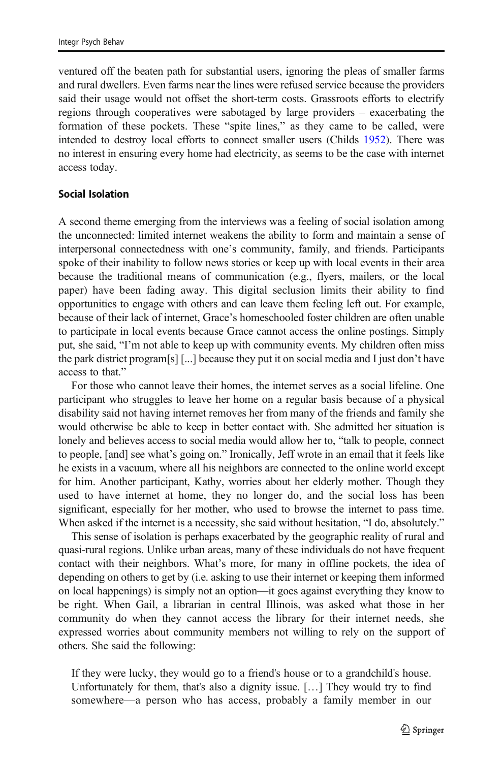ventured off the beaten path for substantial users, ignoring the pleas of smaller farms and rural dwellers. Even farms near the lines were refused service because the providers said their usage would not offset the short-term costs. Grassroots efforts to electrify regions through cooperatives were sabotaged by large providers – exacerbating the formation of these pockets. These "spite lines," as they came to be called, were intended to destroy local efforts to connect smaller users (Childs [1952](#page-13-0)). There was no interest in ensuring every home had electricity, as seems to be the case with internet access today.

#### Social Isolation

A second theme emerging from the interviews was a feeling of social isolation among the unconnected: limited internet weakens the ability to form and maintain a sense of interpersonal connectedness with one's community, family, and friends. Participants spoke of their inability to follow news stories or keep up with local events in their area because the traditional means of communication (e.g., flyers, mailers, or the local paper) have been fading away. This digital seclusion limits their ability to find opportunities to engage with others and can leave them feeling left out. For example, because of their lack of internet, Grace's homeschooled foster children are often unable to participate in local events because Grace cannot access the online postings. Simply put, she said, "I'm not able to keep up with community events. My children often miss the park district program[s] [...] because they put it on social media and I just don't have access to that."

For those who cannot leave their homes, the internet serves as a social lifeline. One participant who struggles to leave her home on a regular basis because of a physical disability said not having internet removes her from many of the friends and family she would otherwise be able to keep in better contact with. She admitted her situation is lonely and believes access to social media would allow her to, "talk to people, connect to people, [and] see what's going on." Ironically, Jeff wrote in an email that it feels like he exists in a vacuum, where all his neighbors are connected to the online world except for him. Another participant, Kathy, worries about her elderly mother. Though they used to have internet at home, they no longer do, and the social loss has been significant, especially for her mother, who used to browse the internet to pass time. When asked if the internet is a necessity, she said without hesitation, "I do, absolutely."

This sense of isolation is perhaps exacerbated by the geographic reality of rural and quasi-rural regions. Unlike urban areas, many of these individuals do not have frequent contact with their neighbors. What's more, for many in offline pockets, the idea of depending on others to get by (i.e. asking to use their internet or keeping them informed on local happenings) is simply not an option—it goes against everything they know to be right. When Gail, a librarian in central Illinois, was asked what those in her community do when they cannot access the library for their internet needs, she expressed worries about community members not willing to rely on the support of others. She said the following:

If they were lucky, they would go to a friend's house or to a grandchild's house. Unfortunately for them, that's also a dignity issue. […] They would try to find somewhere—a person who has access, probably a family member in our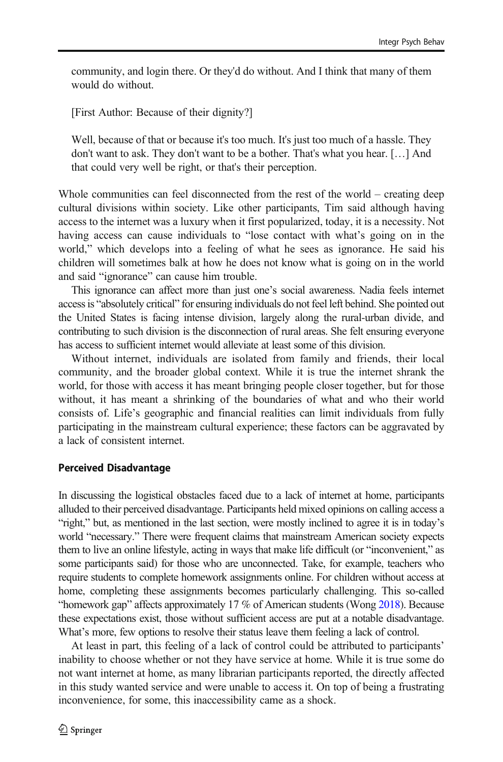community, and login there. Or they'd do without. And I think that many of them would do without.

[First Author: Because of their dignity?]

Well, because of that or because it's too much. It's just too much of a hassle. They don't want to ask. They don't want to be a bother. That's what you hear. […] And that could very well be right, or that's their perception.

Whole communities can feel disconnected from the rest of the world – creating deep cultural divisions within society. Like other participants, Tim said although having access to the internet was a luxury when it first popularized, today, it is a necessity. Not having access can cause individuals to "lose contact with what's going on in the world," which develops into a feeling of what he sees as ignorance. He said his children will sometimes balk at how he does not know what is going on in the world and said "ignorance" can cause him trouble.

This ignorance can affect more than just one's social awareness. Nadia feels internet access is "absolutely critical" for ensuring individuals do not feel left behind. She pointed out the United States is facing intense division, largely along the rural-urban divide, and contributing to such division is the disconnection of rural areas. She felt ensuring everyone has access to sufficient internet would alleviate at least some of this division.

Without internet, individuals are isolated from family and friends, their local community, and the broader global context. While it is true the internet shrank the world, for those with access it has meant bringing people closer together, but for those without, it has meant a shrinking of the boundaries of what and who their world consists of. Life's geographic and financial realities can limit individuals from fully participating in the mainstream cultural experience; these factors can be aggravated by a lack of consistent internet.

#### Perceived Disadvantage

In discussing the logistical obstacles faced due to a lack of internet at home, participants alluded to their perceived disadvantage. Participants held mixed opinions on calling access a "right," but, as mentioned in the last section, were mostly inclined to agree it is in today's world "necessary." There were frequent claims that mainstream American society expects them to live an online lifestyle, acting in ways that make life difficult (or "inconvenient," as some participants said) for those who are unconnected. Take, for example, teachers who require students to complete homework assignments online. For children without access at home, completing these assignments becomes particularly challenging. This so-called "homework gap" affects approximately 17 % of American students (Wong [2018\)](#page-14-0). Because these expectations exist, those without sufficient access are put at a notable disadvantage. What's more, few options to resolve their status leave them feeling a lack of control.

At least in part, this feeling of a lack of control could be attributed to participants' inability to choose whether or not they have service at home. While it is true some do not want internet at home, as many librarian participants reported, the directly affected in this study wanted service and were unable to access it. On top of being a frustrating inconvenience, for some, this inaccessibility came as a shock.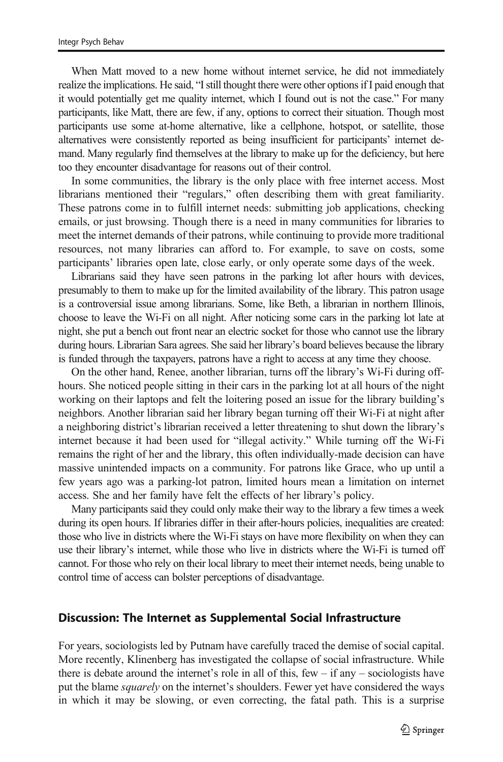When Matt moved to a new home without internet service, he did not immediately realize the implications. He said, "I still thought there were other options if I paid enough that it would potentially get me quality internet, which I found out is not the case." For many participants, like Matt, there are few, if any, options to correct their situation. Though most participants use some at-home alternative, like a cellphone, hotspot, or satellite, those alternatives were consistently reported as being insufficient for participants' internet demand. Many regularly find themselves at the library to make up for the deficiency, but here too they encounter disadvantage for reasons out of their control.

In some communities, the library is the only place with free internet access. Most librarians mentioned their "regulars," often describing them with great familiarity. These patrons come in to fulfill internet needs: submitting job applications, checking emails, or just browsing. Though there is a need in many communities for libraries to meet the internet demands of their patrons, while continuing to provide more traditional resources, not many libraries can afford to. For example, to save on costs, some participants' libraries open late, close early, or only operate some days of the week.

Librarians said they have seen patrons in the parking lot after hours with devices, presumably to them to make up for the limited availability of the library. This patron usage is a controversial issue among librarians. Some, like Beth, a librarian in northern Illinois, choose to leave the Wi-Fi on all night. After noticing some cars in the parking lot late at night, she put a bench out front near an electric socket for those who cannot use the library during hours. Librarian Sara agrees. She said her library's board believes because the library is funded through the taxpayers, patrons have a right to access at any time they choose.

On the other hand, Renee, another librarian, turns off the library's Wi-Fi during offhours. She noticed people sitting in their cars in the parking lot at all hours of the night working on their laptops and felt the loitering posed an issue for the library building's neighbors. Another librarian said her library began turning off their Wi-Fi at night after a neighboring district's librarian received a letter threatening to shut down the library's internet because it had been used for "illegal activity." While turning off the Wi-Fi remains the right of her and the library, this often individually-made decision can have massive unintended impacts on a community. For patrons like Grace, who up until a few years ago was a parking-lot patron, limited hours mean a limitation on internet access. She and her family have felt the effects of her library's policy.

Many participants said they could only make their way to the library a few times a week during its open hours. If libraries differ in their after-hours policies, inequalities are created: those who live in districts where the Wi-Fi stays on have more flexibility on when they can use their library's internet, while those who live in districts where the Wi-Fi is turned off cannot. For those who rely on their local library to meet their internet needs, being unable to control time of access can bolster perceptions of disadvantage.

#### Discussion: The Internet as Supplemental Social Infrastructure

For years, sociologists led by Putnam have carefully traced the demise of social capital. More recently, Klinenberg has investigated the collapse of social infrastructure. While there is debate around the internet's role in all of this, few  $-$  if any  $-$  sociologists have put the blame *squarely* on the internet's shoulders. Fewer yet have considered the ways in which it may be slowing, or even correcting, the fatal path. This is a surprise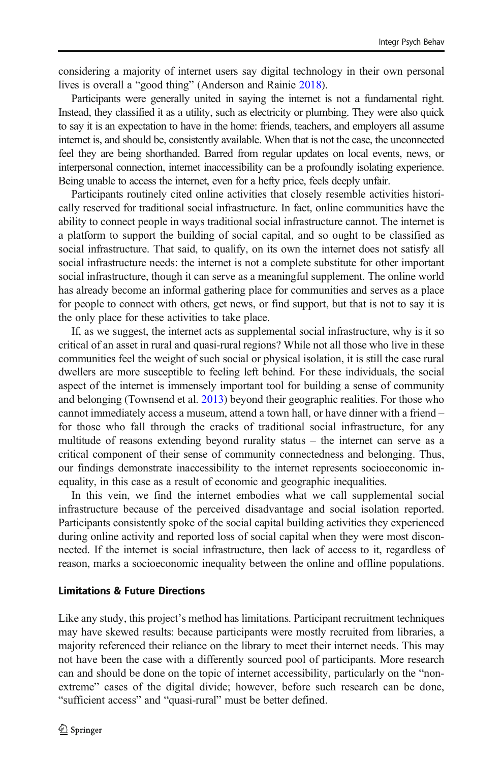considering a majority of internet users say digital technology in their own personal lives is overall a "good thing" (Anderson and Rainie [2018\)](#page-12-0).

Participants were generally united in saying the internet is not a fundamental right. Instead, they classified it as a utility, such as electricity or plumbing. They were also quick to say it is an expectation to have in the home: friends, teachers, and employers all assume internet is, and should be, consistently available. When that is not the case, the unconnected feel they are being shorthanded. Barred from regular updates on local events, news, or interpersonal connection, internet inaccessibility can be a profoundly isolating experience. Being unable to access the internet, even for a hefty price, feels deeply unfair.

Participants routinely cited online activities that closely resemble activities historically reserved for traditional social infrastructure. In fact, online communities have the ability to connect people in ways traditional social infrastructure cannot. The internet is a platform to support the building of social capital, and so ought to be classified as social infrastructure. That said, to qualify, on its own the internet does not satisfy all social infrastructure needs: the internet is not a complete substitute for other important social infrastructure, though it can serve as a meaningful supplement. The online world has already become an informal gathering place for communities and serves as a place for people to connect with others, get news, or find support, but that is not to say it is the only place for these activities to take place.

If, as we suggest, the internet acts as supplemental social infrastructure, why is it so critical of an asset in rural and quasi-rural regions? While not all those who live in these communities feel the weight of such social or physical isolation, it is still the case rural dwellers are more susceptible to feeling left behind. For these individuals, the social aspect of the internet is immensely important tool for building a sense of community and belonging (Townsend et al. [2013\)](#page-14-0) beyond their geographic realities. For those who cannot immediately access a museum, attend a town hall, or have dinner with a friend – for those who fall through the cracks of traditional social infrastructure, for any multitude of reasons extending beyond rurality status – the internet can serve as a critical component of their sense of community connectedness and belonging. Thus, our findings demonstrate inaccessibility to the internet represents socioeconomic inequality, in this case as a result of economic and geographic inequalities.

In this vein, we find the internet embodies what we call supplemental social infrastructure because of the perceived disadvantage and social isolation reported. Participants consistently spoke of the social capital building activities they experienced during online activity and reported loss of social capital when they were most disconnected. If the internet is social infrastructure, then lack of access to it, regardless of reason, marks a socioeconomic inequality between the online and offline populations.

#### Limitations & Future Directions

Like any study, this project's method has limitations. Participant recruitment techniques may have skewed results: because participants were mostly recruited from libraries, a majority referenced their reliance on the library to meet their internet needs. This may not have been the case with a differently sourced pool of participants. More research can and should be done on the topic of internet accessibility, particularly on the "nonextreme" cases of the digital divide; however, before such research can be done, "sufficient access" and "quasi-rural" must be better defined.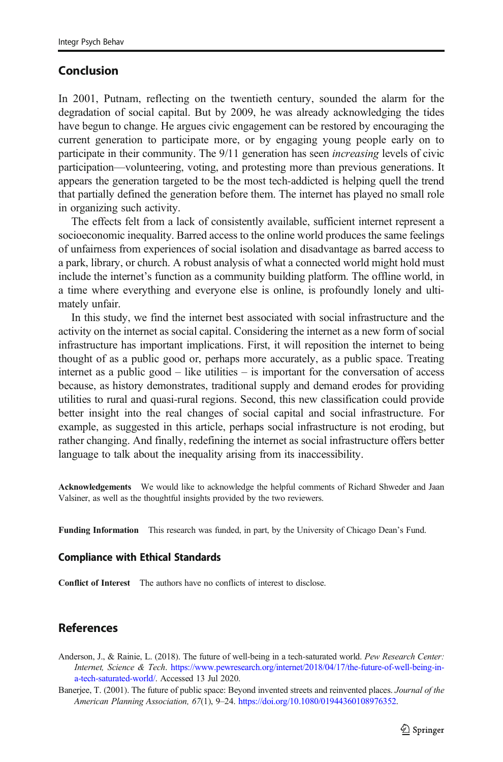# <span id="page-12-0"></span>Conclusion

In 2001, Putnam, reflecting on the twentieth century, sounded the alarm for the degradation of social capital. But by 2009, he was already acknowledging the tides have begun to change. He argues civic engagement can be restored by encouraging the current generation to participate more, or by engaging young people early on to participate in their community. The 9/11 generation has seen increasing levels of civic participation—volunteering, voting, and protesting more than previous generations. It appears the generation targeted to be the most tech-addicted is helping quell the trend that partially defined the generation before them. The internet has played no small role in organizing such activity.

The effects felt from a lack of consistently available, sufficient internet represent a socioeconomic inequality. Barred access to the online world produces the same feelings of unfairness from experiences of social isolation and disadvantage as barred access to a park, library, or church. A robust analysis of what a connected world might hold must include the internet's function as a community building platform. The offline world, in a time where everything and everyone else is online, is profoundly lonely and ultimately unfair.

In this study, we find the internet best associated with social infrastructure and the activity on the internet as social capital. Considering the internet as a new form of social infrastructure has important implications. First, it will reposition the internet to being thought of as a public good or, perhaps more accurately, as a public space. Treating internet as a public good – like utilities – is important for the conversation of access because, as history demonstrates, traditional supply and demand erodes for providing utilities to rural and quasi-rural regions. Second, this new classification could provide better insight into the real changes of social capital and social infrastructure. For example, as suggested in this article, perhaps social infrastructure is not eroding, but rather changing. And finally, redefining the internet as social infrastructure offers better language to talk about the inequality arising from its inaccessibility.

Acknowledgements We would like to acknowledge the helpful comments of Richard Shweder and Jaan Valsiner, as well as the thoughtful insights provided by the two reviewers.

Funding Information This research was funded, in part, by the University of Chicago Dean's Fund.

#### Compliance with Ethical Standards

Conflict of Interest The authors have no conflicts of interest to disclose.

# References

- Anderson, J., & Rainie, L. (2018). The future of well-being in a tech-saturated world. Pew Research Center: Internet, Science & Tech. [https://www.pewresearch.org/internet/2018/04/17/the-future-of-well-being-in](https://www.pewresearch.org/internet/2018/04/17/the-future-of-well-being-in-a-tech-saturated-world/)[a-tech-saturated-world/.](https://www.pewresearch.org/internet/2018/04/17/the-future-of-well-being-in-a-tech-saturated-world/) Accessed 13 Jul 2020.
- Banerjee, T. (2001). The future of public space: Beyond invented streets and reinvented places. Journal of the American Planning Association, 67(1), 9–24. <https://doi.org/10.1080/01944360108976352>.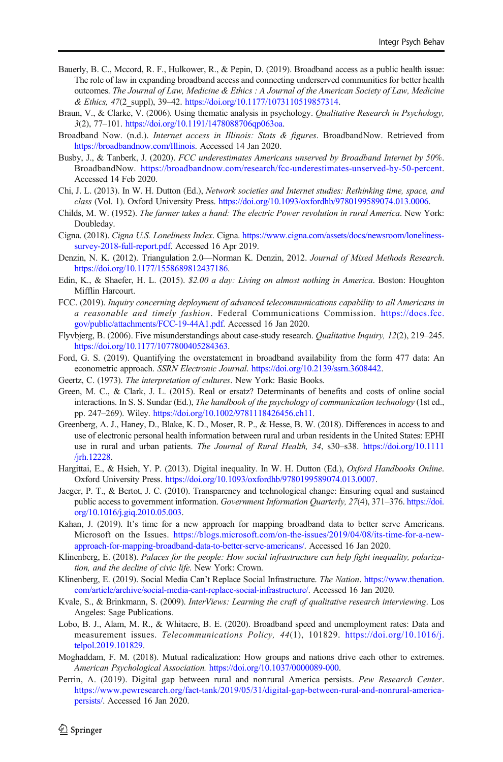- <span id="page-13-0"></span>Bauerly, B. C., Mccord, R. F., Hulkower, R., & Pepin, D. (2019). Broadband access as a public health issue: The role of law in expanding broadband access and connecting underserved communities for better health outcomes. The Journal of Law, Medicine & Ethics : A Journal of the American Society of Law, Medicine & Ethics, 47(2\_suppl), 39–42. [https://doi.org/10.1177/1073110519857314.](https://doi.org/10.1177/1073110519857314)
- Braun, V., & Clarke, V. (2006). Using thematic analysis in psychology. *Qualitative Research in Psychology*, 3(2), 77–101. [https://doi.org/10.1191/1478088706qp063oa.](https://doi.org/10.1191/1478088706qp063oa)
- Broadband Now. (n.d.). Internet access in Illinois: Stats & figures. BroadbandNow. Retrieved from <https://broadbandnow.com/Illinois>. Accessed 14 Jan 2020.
- Busby, J., & Tanberk, J. (2020). FCC underestimates Americans unserved by Broadband Internet by 50%. BroadbandNow. <https://broadbandnow.com/research/fcc-underestimates-unserved-by-50-percent>. Accessed 14 Feb 2020.
- Chi, J. L. (2013). In W. H. Dutton (Ed.), Network societies and Internet studies: Rethinking time, space, and class (Vol. 1). Oxford University Press. [https://doi.org/10.1093/oxfordhb/9780199589074.013.0006.](https://doi.org/10.1093/oxfordhb/9780199589074.013.0006)
- Childs, M. W. (1952). The farmer takes a hand: The electric Power revolution in rural America. New York: Doubleday.
- Cigna. (2018). Cigna U.S. Loneliness Index. Cigna. [https://www.cigna.com/assets/docs/newsroom/loneliness](https://www.cigna.com/assets/docs/newsroom/loneliness-survey-2018-full-report.pdf)[survey-2018-full-report.pdf.](https://www.cigna.com/assets/docs/newsroom/loneliness-survey-2018-full-report.pdf) Accessed 16 Apr 2019.
- Denzin, N. K. (2012). Triangulation 2.0—Norman K. Denzin, 2012. Journal of Mixed Methods Research. <https://doi.org/10.1177/1558689812437186>.
- Edin, K., & Shaefer, H. L. (2015). \$2.00 a day: Living on almost nothing in America. Boston: Houghton Mifflin Harcourt.
- FCC. (2019). Inquiry concerning deployment of advanced telecommunications capability to all Americans in a reasonable and timely fashion. Federal Communications Commission. [https://docs.fcc.](https://docs.fcc.gov/public/attachments/FCC-19-44A1.pdf) [gov/public/attachments/FCC-19-44A1.pdf.](https://docs.fcc.gov/public/attachments/FCC-19-44A1.pdf) Accessed 16 Jan 2020.
- Flyvbjerg, B. (2006). Five misunderstandings about case-study research. Qualitative Inquiry, 12(2), 219–245. <https://doi.org/10.1177/1077800405284363>.
- Ford, G. S. (2019). Quantifying the overstatement in broadband availability from the form 477 data: An econometric approach. SSRN Electronic Journal. <https://doi.org/10.2139/ssrn.3608442>.
- Geertz, C. (1973). The interpretation of cultures. New York: Basic Books.
- Green, M. C., & Clark, J. L. (2015). Real or ersatz? Determinants of benefits and costs of online social interactions. In S. S. Sundar (Ed.), The handbook of the psychology of communication technology (1st ed., pp. 247–269). Wiley. <https://doi.org/10.1002/9781118426456.ch11>.
- Greenberg, A. J., Haney, D., Blake, K. D., Moser, R. P., & Hesse, B. W. (2018). Differences in access to and use of electronic personal health information between rural and urban residents in the United States: EPHI use in rural and urban patients. The Journal of Rural Health, 34, s30–s38. [https://doi.org/10.1111](https://doi.org/10.1111/jrh.12228) [/jrh.12228.](https://doi.org/10.1111/jrh.12228)
- Hargittai, E., & Hsieh, Y. P. (2013). Digital inequality. In W. H. Dutton (Ed.), *Oxford Handbooks Online*. Oxford University Press. <https://doi.org/10.1093/oxfordhb/9780199589074.013.0007>.
- Jaeger, P. T., & Bertot, J. C. (2010). Transparency and technological change: Ensuring equal and sustained public access to government information. Government Information Quarterly, 27(4), 371–376. [https://doi.](https://doi.org/10.1016/j.giq.2010.05.003) [org/10.1016/j.giq.2010.05.003.](https://doi.org/10.1016/j.giq.2010.05.003)
- Kahan, J. (2019). It's time for a new approach for mapping broadband data to better serve Americans. Microsoft on the Issues. [https://blogs.microsoft.com/on-the-issues/2019/04/08/its-time-for-a-new](https://blogs.microsoft.com/on-the-issues/2019/04/08/its-time-for-a-new-approach-for-mapping-broadband-data-to-better-serve-americans/)[approach-for-mapping-broadband-data-to-better-serve-americans/.](https://blogs.microsoft.com/on-the-issues/2019/04/08/its-time-for-a-new-approach-for-mapping-broadband-data-to-better-serve-americans/) Accessed 16 Jan 2020.
- Klinenberg, E. (2018). Palaces for the people: How social infrastructure can help fight inequality, polarization, and the decline of civic life. New York: Crown.
- Klinenberg, E. (2019). Social Media Can't Replace Social Infrastructure. The Nation. [https://www.thenation.](https://www.thenation.com/article/archive/social-media-cant-replace-social-infrastructure/) [com/article/archive/social-media-cant-replace-social-infrastructure/](https://www.thenation.com/article/archive/social-media-cant-replace-social-infrastructure/). Accessed 16 Jan 2020.
- Kvale, S., & Brinkmann, S. (2009). InterViews: Learning the craft of qualitative research interviewing. Los Angeles: Sage Publications.
- Lobo, B. J., Alam, M. R., & Whitacre, B. E. (2020). Broadband speed and unemployment rates: Data and measurement issues. Telecommunications Policy, 44(1), 101829. [https://doi.org/10.1016/j.](https://doi.org/10.1016/j.telpol.2019.101829) [telpol.2019.101829.](https://doi.org/10.1016/j.telpol.2019.101829)
- Moghaddam, F. M. (2018). Mutual radicalization: How groups and nations drive each other to extremes. American Psychological Association. <https://doi.org/10.1037/0000089-000>.
- Perrin, A. (2019). Digital gap between rural and nonrural America persists. Pew Research Center. [https://www.pewresearch.org/fact-tank/2019/05/31/digital-gap-between-rural-and-nonrural-america](https://www.pewresearch.org/fact-tank/2019/05/31/digital-gap-between-rural-and-nonrural-america-persists/)[persists/.](https://www.pewresearch.org/fact-tank/2019/05/31/digital-gap-between-rural-and-nonrural-america-persists/) Accessed 16 Jan 2020.